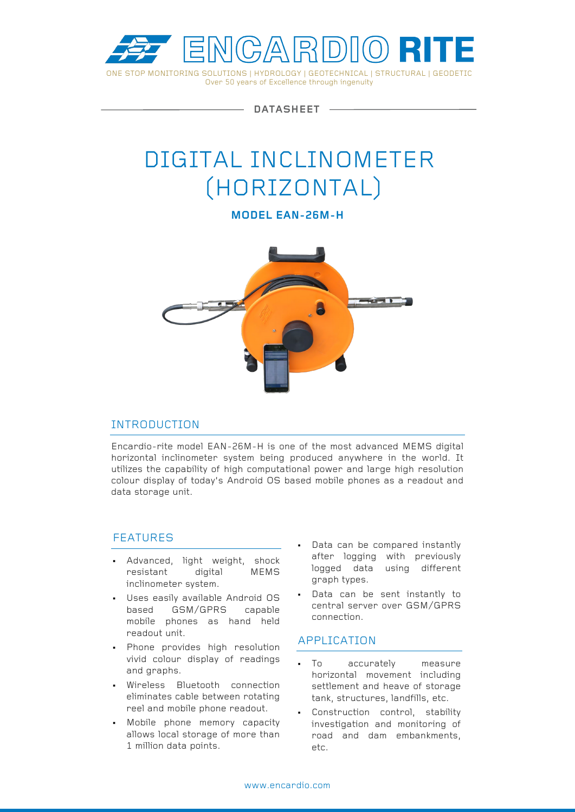

**DATASHEET**

# DIGITAL INCLINOMETER (HORIZONTAL)

**MODEL EAN-26M-H**



# INTRODUCTION

Encardio-rite model EAN-26M-H is one of the most advanced MEMS digital horizontal inclinometer system being produced anywhere in the world. It utilizes the capability of high computational power and large high resolution colour display of today's Android OS based mobile phones as a readout and data storage unit.

# FEATURES

- Advanced, light weight, shock resistant digital MEMS inclinometer system.
- Uses easily available Android OS based GSM/GPRS capable mobile phones as hand held readout unit.
- Phone provides high resolution vivid colour display of readings and graphs.
- Wireless Bluetooth connection eliminates cable between rotating reel and mobile phone readout.
- Mobile phone memory capacity allows local storage of more than 1 million data points.
- Data can be compared instantly after logging with previously logged data using different graph types.
- Data can be sent instantly to central server over GSM/GPRS connection.

# APPLICATION

- To accurately measure horizontal movement including settlement and heave of storage tank, structures, landfills, etc.
- Construction control, stability investigation and monitoring of road and dam embankments, etc.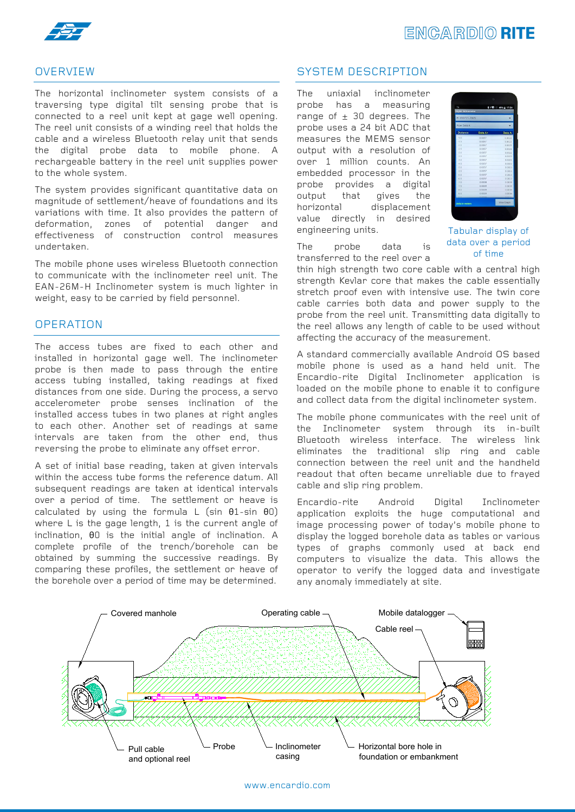



# OVERVIEW

The horizontal inclinometer system consists of a traversing type digital tilt sensing probe that is connected to a reel unit kept at gage well opening. The reel unit consists of a winding reel that holds the cable and a wireless Bluetooth relay unit that sends the digital probe data to mobile phone. A rechargeable battery in the reel unit supplies power to the whole system.

The system provides significant quantitative data on magnitude of settlement/heave of foundations and its variations with time. It also provides the pattern of deformation, zones of potential danger and effectiveness of construction control measures undertaken.

The mobile phone uses wireless Bluetooth connection to communicate with the inclinometer reel unit. The EAN-26M-H Inclinometer system is much lighter in weight, easy to be carried by field personnel.

# **OPERATION**

The access tubes are fixed to each other and installed in horizontal gage well. The inclinometer probe is then made to pass through the entire access tubing installed, taking readings at fixed distances from one side. During the process, a servo accelerometer probe senses inclination of the installed access tubes in two planes at right angles to each other. Another set of readings at same intervals are taken from the other end, thus reversing the probe to eliminate any offset error.

A set of initial base reading, taken at given intervals within the access tube forms the reference datum. All subsequent readings are taken at identical intervals over a period of time. The settlement or heave is calculated by using the formula L (sin θ1-sin θ0) where L is the gage length, 1 is the current angle of inclination, θ0 is the initial angle of inclination. A complete profile of the trench/borehole can be obtained by summing the successive readings. By comparing these profiles, the settlement or heave of the borehole over a period of time may be determined.

# SYSTEM DESCRIPTION

The uniaxial inclinometer probe has a measuring range of  $\pm$  30 degrees. The probe uses a 24 bit ADC that measures the MEMS sensor output with a resolution of over 1 million counts. An embedded processor in the probe provides a digital output that gives the horizontal displacement value directly in desired engineering units.



Tabular display of data over a period of time

The probe data is transferred to the reel over a

thin high strength two core cable with a central high strength Kevlar core that makes the cable essentially stretch proof even with intensive use. The twin core cable carries both data and power supply to the probe from the reel unit. Transmitting data digitally to the reel allows any length of cable to be used without affecting the accuracy of the measurement.

A standard commercially available Android OS based mobile phone is used as a hand held unit. The Encardio-rite Digital Inclinometer application is loaded on the mobile phone to enable it to configure and collect data from the digital inclinometer system.

The mobile phone communicates with the reel unit of the Inclinometer system through its in-built Bluetooth wireless interface. The wireless link eliminates the traditional slip ring and cable connection between the reel unit and the handheld readout that often became unreliable due to frayed cable and slip ring problem.

Encardio-rite Android Digital Inclinometer application exploits the huge computational and image processing power of today's mobile phone to display the logged borehole data as tables or various types of graphs commonly used at back end computers to visualize the data. This allows the operator to verify the logged data and investigate any anomaly immediately at site.

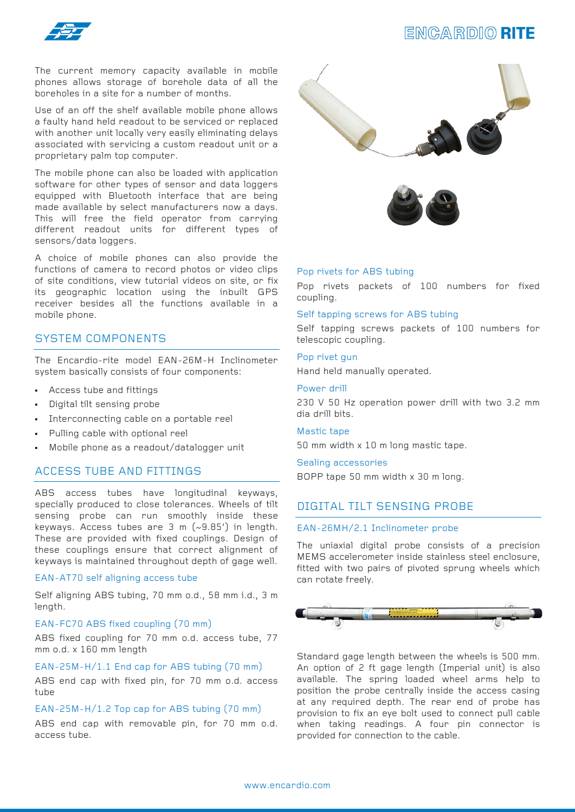

# **ENGARDIO RITE**

The current memory capacity available in mobile phones allows storage of borehole data of all the boreholes in a site for a number of months.

Use of an off the shelf available mobile phone allows a faulty hand held readout to be serviced or replaced with another unit locally very easily eliminating delays associated with servicing a custom readout unit or a proprietary palm top computer.

The mobile phone can also be loaded with application software for other types of sensor and data loggers equipped with Bluetooth interface that are being made available by select manufacturers now a days. This will free the field operator from carrying different readout units for different types of sensors/data loggers.

A choice of mobile phones can also provide the functions of camera to record photos or video clips of site conditions, view tutorial videos on site, or fix its geographic location using the inbuilt GPS receiver besides all the functions available in a mobile phone.

# SYSTEM COMPONENTS

The Encardio-rite model EAN-26M-H Inclinometer system basically consists of four components:

- Access tube and fittings
- Digital tilt sensing probe
- Interconnecting cable on a portable reel
- Pulling cable with optional reel
- Mobile phone as a readout/datalogger unit

### ACCESS TUBE AND FITTINGS

ABS access tubes have longitudinal keyways, specially produced to close tolerances. Wheels of tilt sensing probe can run smoothly inside these keyways. Access tubes are 3 m (~9.85') in length. These are provided with fixed couplings. Design of these couplings ensure that correct alignment of keyways is maintained throughout depth of gage well.

#### EAN-AT70 self aligning access tube

Self aligning ABS tubing, 70 mm o.d., 58 mm i.d., 3 m length.

#### EAN-FC70 ABS fixed coupling (70 mm)

ABS fixed coupling for 70 mm o.d. access tube, 77 mm o.d. x 160 mm length

#### EAN-25M-H/1.1 End cap for ABS tubing (70 mm)

ABS end cap with fixed pin, for 70 mm o.d. access tube

#### EAN-25M-H/1.2 Top cap for ABS tubing (70 mm)

ABS end cap with removable pin, for 70 mm o.d. access tube.





#### Pop rivets for ABS tubing

Pop rivets packets of 100 numbers for fixed coupling.

#### Self tapping screws for ABS tubing

Self tapping screws packets of 100 numbers for telescopic coupling.

#### Pop rivet gun

Hand held manually operated.

#### Power drill

230 V 50 Hz operation power drill with two 3.2 mm dia drill bits.

#### Mastic tape

50 mm width x 10 m long mastic tape.

#### Sealing accessories

BOPP tape 50 mm width x 30 m long.

#### DIGITAL TILT SENSING PROBE

#### EAN-26MH/2.1 Inclinometer probe

The uniaxial digital probe consists of a precision MEMS accelerometer inside stainless steel enclosure, fitted with two pairs of pivoted sprung wheels which can rotate freely.



Standard gage length between the wheels is 500 mm. An option of 2 ft gage length (Imperial unit) is also available. The spring loaded wheel arms help to position the probe centrally inside the access casing at any required depth. The rear end of probe has provision to fix an eye bolt used to connect pull cable when taking readings. A four pin connector is provided for connection to the cable.